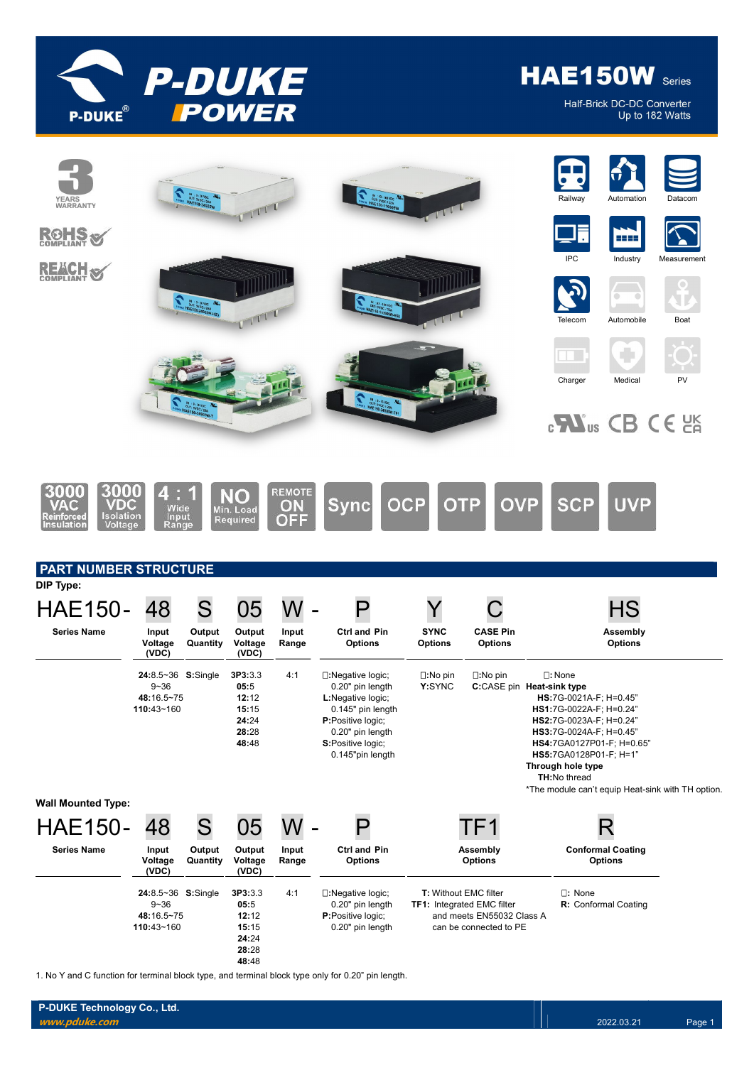

Half-Brick DC-DC Converter Up to 182 Watts



1. No Y and C function for terminal block type, and terminal block type only for 0.20" pin length.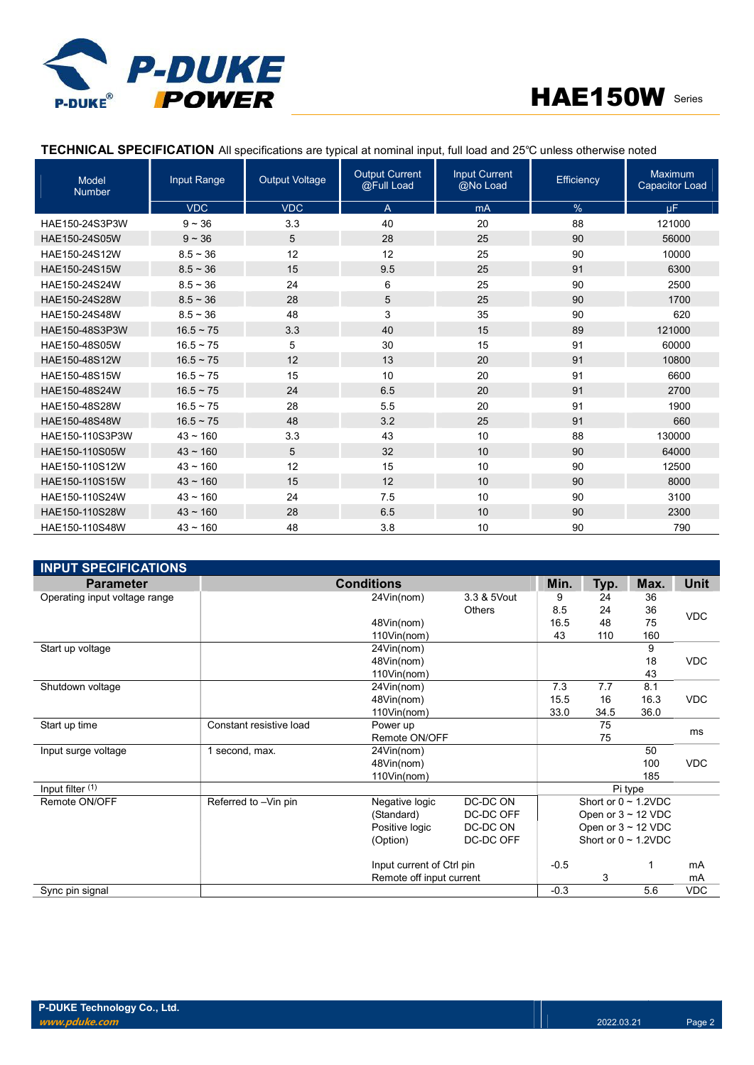



# TECHNICAL SPECIFICATION All specifications are typical at nominal input, full load and 25℃ unless otherwise noted

| <b>Model</b><br><b>Number</b> | Input Range    | <b>Output Voltage</b> | <b>Output Current</b><br>@Full Load | <b>Input Current</b><br>@No Load | Efficiency    | Maximum<br><b>Capacitor Load</b> |
|-------------------------------|----------------|-----------------------|-------------------------------------|----------------------------------|---------------|----------------------------------|
|                               | <b>VDC</b>     | <b>VDC</b>            | $\overline{A}$                      | mA                               | $\frac{9}{6}$ | μF.                              |
| HAE150-24S3P3W                | $9 - 36$       | 3.3                   | 40                                  | 20                               | 88            | 121000                           |
| HAE150-24S05W                 | $9 - 36$       | 5                     | 28                                  | 25                               | 90            | 56000                            |
| HAE150-24S12W                 | $8.5 - 36$     | 12                    | 12                                  | 25                               | 90            | 10000                            |
| HAE150-24S15W                 | $8.5 \sim 36$  | 15                    | 9.5                                 | 25                               | 91            | 6300                             |
| HAE150-24S24W                 | $8.5 - 36$     | 24                    | 6                                   | 25                               | 90            | 2500                             |
| HAE150-24S28W                 | $8.5 \sim 36$  | 28                    | 5                                   | 25                               | 90            | 1700                             |
| HAE150-24S48W                 | $8.5 - 36$     | 48                    | 3                                   | 35                               | 90            | 620                              |
| HAE150-48S3P3W                | $16.5 - 75$    | 3.3                   | 40                                  | 15                               | 89            | 121000                           |
| HAE150-48S05W                 | $16.5 \sim 75$ | 5                     | 30                                  | 15                               | 91            | 60000                            |
| HAE150-48S12W                 | $16.5 \sim 75$ | 12                    | 13                                  | 20                               | 91            | 10800                            |
| HAE150-48S15W                 | $16.5 \sim 75$ | 15                    | 10                                  | 20                               | 91            | 6600                             |
| HAE150-48S24W                 | $16.5 \sim 75$ | 24                    | 6.5                                 | 20                               | 91            | 2700                             |
| HAE150-48S28W                 | $16.5 \sim 75$ | 28                    | 5.5                                 | 20                               | 91            | 1900                             |
| HAE150-48S48W                 | $16.5 \sim 75$ | 48                    | 3.2                                 | 25                               | 91            | 660                              |
| HAE150-110S3P3W               | $43 \sim 160$  | 3.3                   | 43                                  | 10                               | 88            | 130000                           |
| HAE150-110S05W                | $43 \sim 160$  | 5                     | 32                                  | 10                               | 90            | 64000                            |
| HAE150-110S12W                | $43 - 160$     | 12                    | 15                                  | 10                               | 90            | 12500                            |
| HAE150-110S15W                | $43 \sim 160$  | 15                    | 12                                  | 10                               | 90            | 8000                             |
| HAE150-110S24W                | $43 - 160$     | 24                    | 7.5                                 | 10                               | 90            | 3100                             |
| HAE150-110S28W                | $43 \sim 160$  | 28                    | 6.5                                 | 10                               | 90            | 2300                             |
| HAE150-110S48W                | $43 - 160$     | 48                    | 3.8                                 | 10                               | 90            | 790                              |

| <b>INPUT SPECIFICATIONS</b>   |                         |                           |               |        |                           |         |            |
|-------------------------------|-------------------------|---------------------------|---------------|--------|---------------------------|---------|------------|
| <b>Parameter</b>              |                         | <b>Conditions</b>         |               | Min.   | Typ.                      | Max.    | Unit       |
| Operating input voltage range |                         | 24Vin(nom)                | 3.3 & 5Vout   | 9      | 24                        | 36      |            |
|                               |                         |                           | <b>Others</b> | 8.5    | 24                        | 36      | <b>VDC</b> |
|                               |                         | 48Vin(nom)                |               | 16.5   | 48                        | 75      |            |
|                               |                         | 110Vin(nom)               |               | 43     | 110                       | 160     |            |
| Start up voltage              |                         | 24Vin(nom)                |               |        |                           | 9       |            |
|                               |                         | 48Vin(nom)                |               |        |                           | 18      | <b>VDC</b> |
|                               |                         | 110Vin(nom)               |               |        |                           | 43      |            |
| Shutdown voltage              |                         | 24Vin(nom)                |               | 7.3    | 7.7                       | 8.1     |            |
|                               |                         | 48Vin(nom)                |               | 15.5   | 16                        | 16.3    | <b>VDC</b> |
|                               |                         | 110Vin(nom)               |               | 33.0   | 34.5                      | 36.0    |            |
| Start up time                 | Constant resistive load | Power up                  |               |        | 75                        |         | ms         |
|                               |                         | Remote ON/OFF             |               |        | 75                        |         |            |
| Input surge voltage           | 1 second, max.          | 24Vin(nom)                |               |        |                           | 50      |            |
|                               |                         | 48Vin(nom)                |               |        |                           | 100     | <b>VDC</b> |
|                               |                         | 110Vin(nom)               |               |        |                           | 185     |            |
| Input filter (1)              |                         |                           |               |        |                           | Pi type |            |
| Remote ON/OFF                 | Referred to -Vin pin    | Negative logic            | DC-DC ON      |        | Short or $0 \sim 1.2$ VDC |         |            |
|                               |                         | (Standard)                | DC-DC OFF     |        | Open or $3 \sim 12$ VDC   |         |            |
|                               |                         | Positive logic            | DC-DC ON      |        | Open or $3 \sim 12$ VDC   |         |            |
|                               |                         | (Option)                  | DC-DC OFF     |        | Short or $0 \sim 1.2$ VDC |         |            |
|                               |                         | Input current of Ctrl pin |               | $-0.5$ |                           | 1       | mA         |
|                               |                         | Remote off input current  |               |        | 3                         |         | mA         |
| Sync pin signal               |                         |                           |               | $-0.3$ |                           | 5.6     | <b>VDC</b> |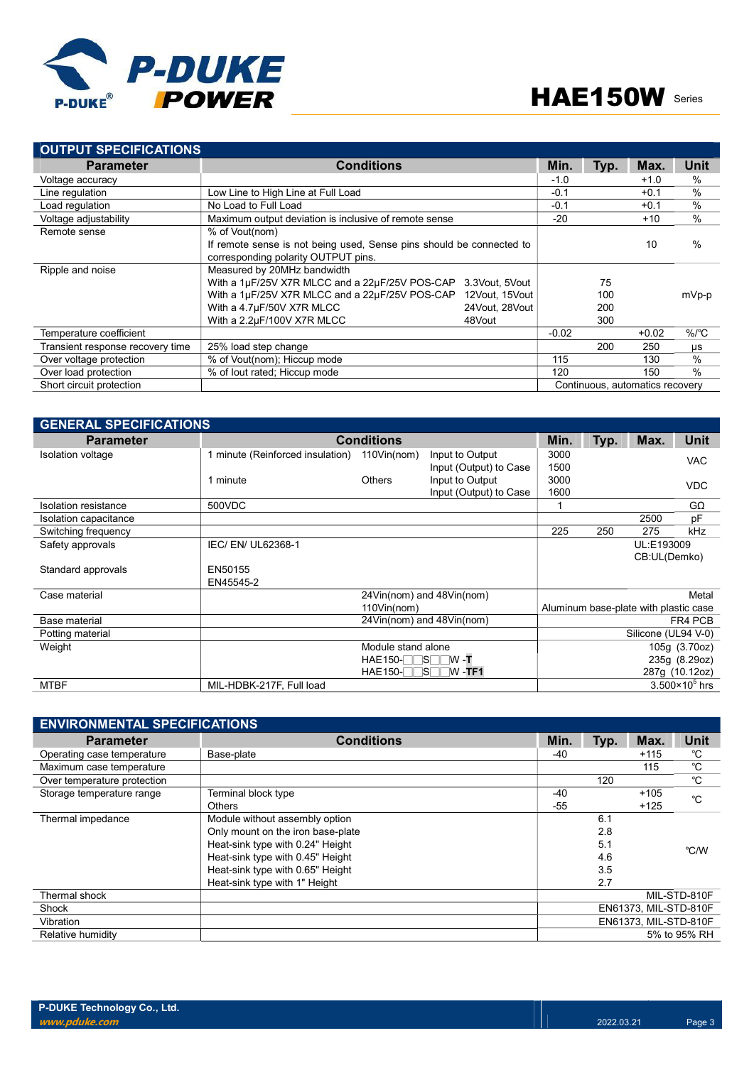

| <b>OUTPUT SPECIFICATIONS</b>     |                                                                      |                |         |        |         |               |
|----------------------------------|----------------------------------------------------------------------|----------------|---------|--------|---------|---------------|
| <b>Parameter</b>                 | <b>Conditions</b>                                                    |                |         | Typ.   | Max.    | Unit          |
| Voltage accuracy                 |                                                                      | $-1.0$         |         | $+1.0$ | $\%$    |               |
| Line regulation                  | Low Line to High Line at Full Load                                   |                | $-0.1$  |        | $+0.1$  | $\frac{0}{0}$ |
| Load regulation                  | No Load to Full Load                                                 |                | $-0.1$  |        | $+0.1$  | $\%$          |
| Voltage adjustability            | Maximum output deviation is inclusive of remote sense                |                | $-20$   |        | $+10$   | $\frac{0}{0}$ |
| Remote sense                     | % of Vout(nom)                                                       |                |         |        |         |               |
|                                  | If remote sense is not being used. Sense pins should be connected to |                |         |        | 10      | $\frac{0}{0}$ |
|                                  | corresponding polarity OUTPUT pins.                                  |                |         |        |         |               |
| Ripple and noise                 | Measured by 20MHz bandwidth                                          |                |         |        |         |               |
|                                  | With a 1µF/25V X7R MLCC and a 22µF/25V POS-CAP                       | 3.3Vout. 5Vout |         | 75     |         |               |
|                                  | With a 1µF/25V X7R MLCC and a 22µF/25V POS-CAP                       | 12Vout, 15Vout |         | 100    |         | mVp-p         |
|                                  | With a 4.7µF/50V X7R MLCC                                            | 24Vout, 28Vout |         | 200    |         |               |
|                                  | With a 2.2µF/100V X7R MLCC                                           | 48Vout         |         | 300    |         |               |
| Temperature coefficient          |                                                                      |                | $-0.02$ |        | $+0.02$ | $\%$ /°C      |
| Transient response recovery time | 25% load step change                                                 |                |         | 200    | 250     | μs            |
| Over voltage protection          | % of Vout(nom); Hiccup mode                                          |                |         |        | 130     | $\%$          |
| Over load protection             | % of lout rated; Hiccup mode<br>120<br>150                           |                |         |        |         | $\frac{0}{0}$ |
| Short circuit protection         | Continuous, automatics recovery                                      |                |         |        |         |               |

| <b>GENERAL SPECIFICATIONS</b> |                                  |                    |                           |      |      |                                       |                       |
|-------------------------------|----------------------------------|--------------------|---------------------------|------|------|---------------------------------------|-----------------------|
| <b>Parameter</b>              |                                  | <b>Conditions</b>  |                           | Min. | Typ. | Max.                                  | Unit                  |
| Isolation voltage             | 1 minute (Reinforced insulation) | $110$ Vin(nom)     | Input to Output           | 3000 |      |                                       | <b>VAC</b>            |
|                               |                                  |                    | Input (Output) to Case    | 1500 |      |                                       |                       |
|                               | 1 minute                         | <b>Others</b>      | Input to Output           | 3000 |      |                                       | <b>VDC</b>            |
|                               |                                  |                    | Input (Output) to Case    | 1600 |      |                                       |                       |
| Isolation resistance          | 500VDC                           |                    |                           |      |      |                                       | $G\Omega$             |
| Isolation capacitance         |                                  |                    |                           |      |      | 2500                                  | pF                    |
| Switching frequency           |                                  |                    |                           | 225  | 250  | 275                                   | <b>kHz</b>            |
| Safety approvals              | IEC/ EN/ UL62368-1               |                    |                           |      |      | UL:E193009                            |                       |
|                               |                                  |                    |                           |      |      | CB:UL(Demko)                          |                       |
| Standard approvals            | EN50155                          |                    |                           |      |      |                                       |                       |
|                               | EN45545-2                        |                    |                           |      |      |                                       |                       |
| Case material                 |                                  |                    | 24Vin(nom) and 48Vin(nom) |      |      |                                       | Metal                 |
|                               |                                  | $110$ Vin(nom)     |                           |      |      | Aluminum base-plate with plastic case |                       |
| Base material                 |                                  |                    | 24Vin(nom) and 48Vin(nom) |      |      |                                       | FR4 PCB               |
| Potting material              |                                  |                    |                           |      |      | Silicone (UL94 V-0)                   |                       |
| Weight                        |                                  | Module stand alone |                           |      |      |                                       | 105g (3.70oz)         |
|                               |                                  | $HAE150-TTST/W-T$  |                           |      |      |                                       | 235g (8.29oz)         |
|                               |                                  | $HAE150-TSTW -TF1$ |                           |      |      |                                       | 287g (10.12oz)        |
| <b>MTBF</b>                   | MIL-HDBK-217F, Full load         |                    |                           |      |      |                                       | $3.500\times10^5$ hrs |

| <b>ENVIRONMENTAL SPECIFICATIONS</b> |                                   |       |                       |        |              |
|-------------------------------------|-----------------------------------|-------|-----------------------|--------|--------------|
| <b>Parameter</b>                    | <b>Conditions</b>                 | Min.  | Typ.                  | Max.   | Unit         |
| Operating case temperature          | Base-plate                        | -40   |                       | $+115$ | °C           |
| Maximum case temperature            |                                   |       |                       | 115    | °C           |
| Over temperature protection         |                                   |       | 120                   |        | °C           |
| Storage temperature range           | Terminal block type               | $-40$ |                       | $+105$ | °C           |
|                                     | <b>Others</b>                     | $-55$ |                       | $+125$ |              |
| Thermal impedance                   | Module without assembly option    |       | 6.1                   |        |              |
|                                     | Only mount on the iron base-plate |       | 2.8                   |        |              |
|                                     | Heat-sink type with 0.24" Height  |       | 5.1                   |        | °C/W         |
|                                     | Heat-sink type with 0.45" Height  |       | 4.6                   |        |              |
|                                     | Heat-sink type with 0.65" Height  |       | 3.5                   |        |              |
|                                     | Heat-sink type with 1" Height     |       | 2.7                   |        |              |
| Thermal shock                       |                                   |       |                       |        | MIL-STD-810F |
| Shock                               |                                   |       | EN61373, MIL-STD-810F |        |              |
| Vibration                           |                                   |       | EN61373. MIL-STD-810F |        |              |
| Relative humidity                   |                                   |       | 5% to 95% RH          |        |              |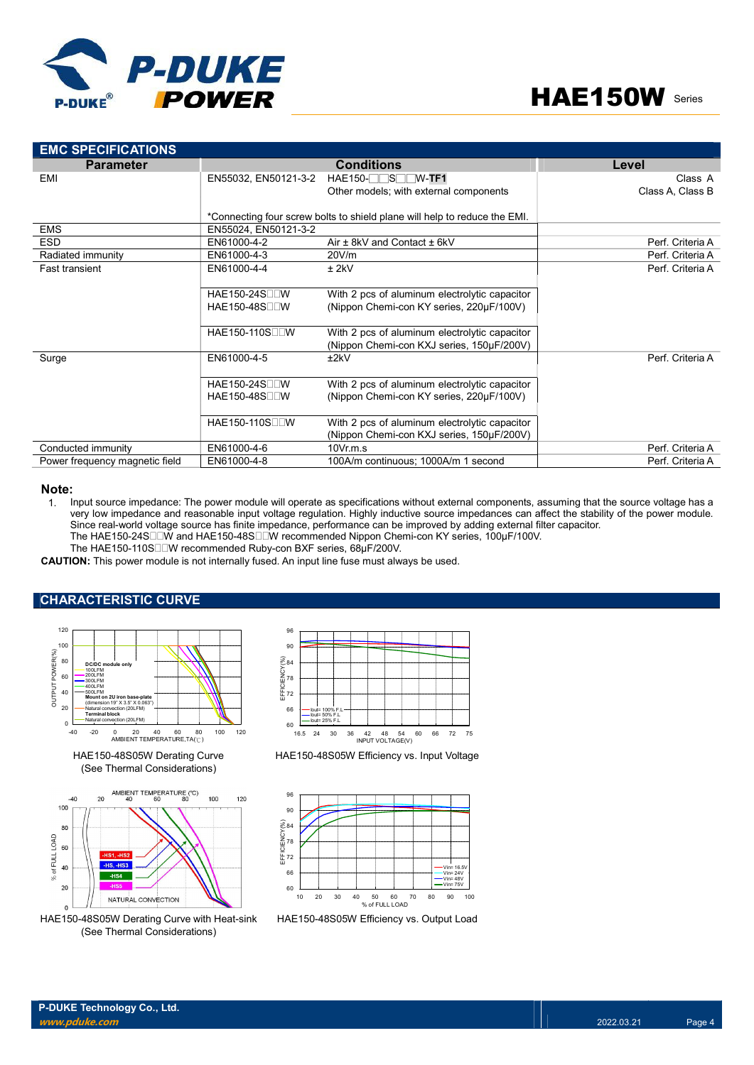

| <b>EMC SPECIFICATIONS</b>                                                                                                                                                                                                                                                                                                                                                                                     |                                                                                              |                                                                                                                                                                                                                                                                                                                                                                   |                  |
|---------------------------------------------------------------------------------------------------------------------------------------------------------------------------------------------------------------------------------------------------------------------------------------------------------------------------------------------------------------------------------------------------------------|----------------------------------------------------------------------------------------------|-------------------------------------------------------------------------------------------------------------------------------------------------------------------------------------------------------------------------------------------------------------------------------------------------------------------------------------------------------------------|------------------|
| <b>Parameter</b>                                                                                                                                                                                                                                                                                                                                                                                              |                                                                                              | <b>Conditions</b>                                                                                                                                                                                                                                                                                                                                                 | Level            |
| EMI                                                                                                                                                                                                                                                                                                                                                                                                           |                                                                                              | EN55032, EN50121-3-2 HAE150-OSOW-TF1                                                                                                                                                                                                                                                                                                                              | Class A          |
|                                                                                                                                                                                                                                                                                                                                                                                                               |                                                                                              | Other models; with external components                                                                                                                                                                                                                                                                                                                            | Class A, Class B |
|                                                                                                                                                                                                                                                                                                                                                                                                               |                                                                                              | *Connecting four screw bolts to shield plane will help to reduce the EMI.                                                                                                                                                                                                                                                                                         |                  |
| <b>EMS</b>                                                                                                                                                                                                                                                                                                                                                                                                    | EN55024, EN50121-3-2                                                                         |                                                                                                                                                                                                                                                                                                                                                                   |                  |
| <b>ESD</b>                                                                                                                                                                                                                                                                                                                                                                                                    | EN61000-4-2                                                                                  | Air ± 8kV and Contact ± 6kV                                                                                                                                                                                                                                                                                                                                       | Perf. Criteria A |
| Radiated immunity                                                                                                                                                                                                                                                                                                                                                                                             | EN61000-4-3                                                                                  | 20V/m                                                                                                                                                                                                                                                                                                                                                             | Perf. Criteria A |
| <b>Fast transient</b>                                                                                                                                                                                                                                                                                                                                                                                         | EN61000-4-4                                                                                  | $±$ 2kV                                                                                                                                                                                                                                                                                                                                                           | Perf. Criteria A |
|                                                                                                                                                                                                                                                                                                                                                                                                               |                                                                                              |                                                                                                                                                                                                                                                                                                                                                                   |                  |
|                                                                                                                                                                                                                                                                                                                                                                                                               | HAE150-24S <sub>II</sub> W                                                                   | With 2 pcs of aluminum electrolytic capacitor                                                                                                                                                                                                                                                                                                                     |                  |
|                                                                                                                                                                                                                                                                                                                                                                                                               | HAE150-48S□□W                                                                                | (Nippon Chemi-con KY series, 220uF/100V)                                                                                                                                                                                                                                                                                                                          |                  |
|                                                                                                                                                                                                                                                                                                                                                                                                               |                                                                                              |                                                                                                                                                                                                                                                                                                                                                                   |                  |
|                                                                                                                                                                                                                                                                                                                                                                                                               | HAE150-110S <sub>U</sub> W                                                                   | With 2 pcs of aluminum electrolytic capacitor                                                                                                                                                                                                                                                                                                                     |                  |
|                                                                                                                                                                                                                                                                                                                                                                                                               |                                                                                              | (Nippon Chemi-con KXJ series, 150µF/200V)                                                                                                                                                                                                                                                                                                                         |                  |
| Surge                                                                                                                                                                                                                                                                                                                                                                                                         | EN61000-4-5                                                                                  | ±2kV                                                                                                                                                                                                                                                                                                                                                              | Perf. Criteria A |
|                                                                                                                                                                                                                                                                                                                                                                                                               |                                                                                              |                                                                                                                                                                                                                                                                                                                                                                   |                  |
|                                                                                                                                                                                                                                                                                                                                                                                                               | HAE150-24S <sub>II</sub> W                                                                   | With 2 pcs of aluminum electrolytic capacitor                                                                                                                                                                                                                                                                                                                     |                  |
|                                                                                                                                                                                                                                                                                                                                                                                                               | HAE150-48S□□W                                                                                | (Nippon Chemi-con KY series, 220µF/100V)                                                                                                                                                                                                                                                                                                                          |                  |
|                                                                                                                                                                                                                                                                                                                                                                                                               |                                                                                              |                                                                                                                                                                                                                                                                                                                                                                   |                  |
|                                                                                                                                                                                                                                                                                                                                                                                                               | HAE150-110SODW                                                                               | With 2 pcs of aluminum electrolytic capacitor                                                                                                                                                                                                                                                                                                                     |                  |
|                                                                                                                                                                                                                                                                                                                                                                                                               |                                                                                              | (Nippon Chemi-con KXJ series, 150µF/200V)                                                                                                                                                                                                                                                                                                                         |                  |
| Conducted immunity                                                                                                                                                                                                                                                                                                                                                                                            | EN61000-4-6                                                                                  | 10Vr.m.s                                                                                                                                                                                                                                                                                                                                                          | Perf. Criteria A |
| Power frequency magnetic field                                                                                                                                                                                                                                                                                                                                                                                | EN61000-4-8                                                                                  | 100A/m continuous: 1000A/m 1 second                                                                                                                                                                                                                                                                                                                               | Perf. Criteria A |
| The HAE150-110S□□W recommended Ruby-con BXF series, 68µF/200V.<br><b>CAUTION:</b> This power module is not internally fused. An input line fuse must always be used.                                                                                                                                                                                                                                          |                                                                                              | very low impedance and reasonable input voltage regulation. Highly inductive source impedances can affect the stability of the power module.<br>Since real-world voltage source has finite impedance, performance can be improved by adding external filter capacitor.<br>The HAE150-24S□□W and HAE150-48S□□W recommended Nippon Chemi-con KY series, 100µF/100V. |                  |
| <b>CHARACTERISTIC CURVE</b>                                                                                                                                                                                                                                                                                                                                                                                   |                                                                                              |                                                                                                                                                                                                                                                                                                                                                                   |                  |
|                                                                                                                                                                                                                                                                                                                                                                                                               |                                                                                              |                                                                                                                                                                                                                                                                                                                                                                   |                  |
| 120<br>100<br>POWER(%)<br>80<br>DC/DC module only<br>100LFM<br>200LFM<br>60<br>300LFM<br>Thelmc<br>400LFM<br>500LFM<br>40<br>Mount on 2U iron base-plate<br>(dimension 19" X 3.5" X 0.063")<br>20<br>Vatural convection (201 FM<br><b>Terminal block</b><br>Natural convection (20LFM)<br>0<br>$-40$<br>$-20$<br>$\mathbf 0$<br>20<br>40<br>60<br>AMBIENT TEMPERATURE, TA(°C)<br>HAE150-48S05W Derating Curve | 96<br>90<br>(8) 84<br>5 78<br>5 78<br>5 78<br>뚭72<br>66<br>60<br>100<br>120<br>80<br>16.5 24 | ∙lout= 100% F.L<br>$-$ lout= 50% F.L.<br>$-$ lout= 25% F.L<br>30<br>36<br>42<br>48<br>60<br>66<br>72 75<br>-54<br>INPUT VOLTAGE(V)<br>HAE150-48S05W Efficiency vs. Input Voltage                                                                                                                                                                                  |                  |
| (See Thermal Considerations)                                                                                                                                                                                                                                                                                                                                                                                  |                                                                                              |                                                                                                                                                                                                                                                                                                                                                                   |                  |
| AMBIENT TEMPERATURE (°C)<br>$-40$<br>20<br>40<br>60<br>80<br>100                                                                                                                                                                                                                                                                                                                                              | 96<br>100<br>120<br>90                                                                       |                                                                                                                                                                                                                                                                                                                                                                   |                  |

#### Note:

### CHARACTERISTIC CURVE



HAE150-48S05W Derating Curve (See Thermal Considerations)



HAE150-48S05W Derating Curve with Heat-sink (See Thermal Considerations)



HAE150-48S05W Efficiency vs. Input Voltage



HAE150-48S05W Efficiency vs. Output Load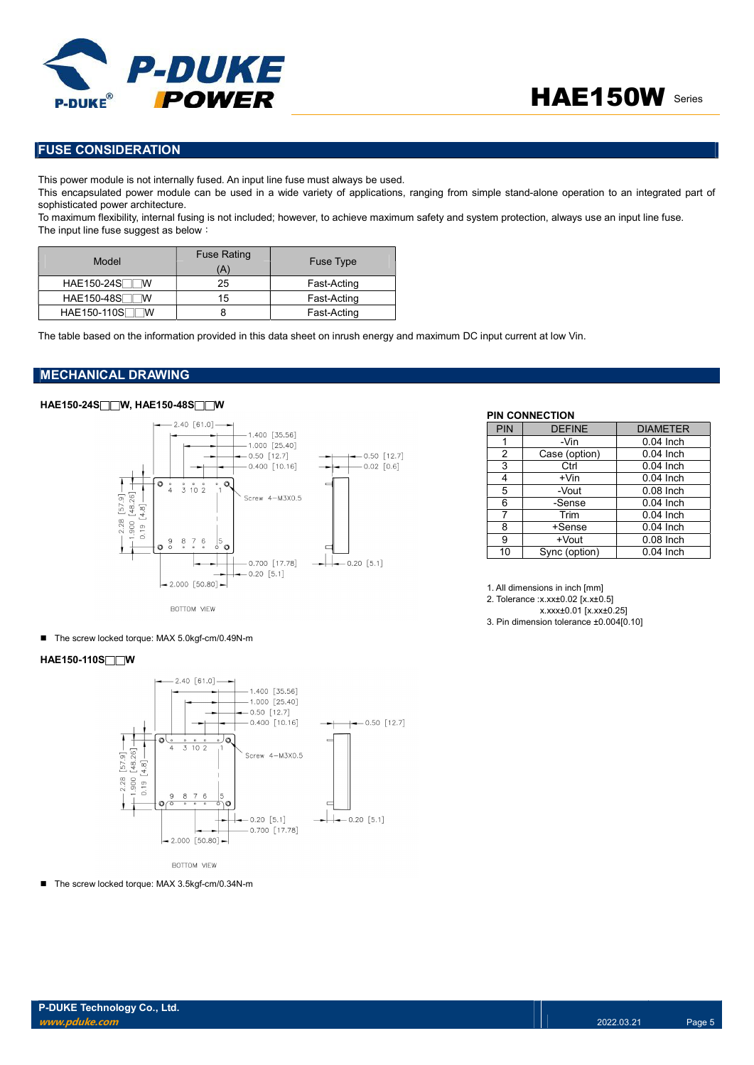

# FUSE CONSIDERATION

This power module is not internally fused. An input line fuse must always be used.

This encapsulated power module can be used in a wide variety of applications, ranging from simple stand-alone operation to an integrated part of sophisticated power architecture.

To maximum flexibility, internal fusing is not included; however, to achieve maximum safety and system protection, always use an input line fuse. The input line fuse suggest as below:

| Model                  | <b>Fuse Rating</b><br>(A' | <b>Fuse Type</b> |
|------------------------|---------------------------|------------------|
| <b>HAE150-24S</b><br>w | 25                        | Fast-Acting      |
| HAE150-48S<br>ΙW       | 15                        | Fast-Acting      |
| HAE150-110S<br>W       |                           | Fast-Acting      |

The table based on the information provided in this data sheet on inrush energy and maximum DC input current at low Vin.

### MECHANICAL DRAWING

#### HAE150-24S□□W, HAE150-48S□□W



PIN CONNECTION

| .  |               |             |
|----|---------------|-------------|
|    | -Vin          | $0.04$ Inch |
| 2  | Case (option) | $0.04$ Inch |
| 3  | Ctrl          | $0.04$ Inch |
| 4  | $+V$ in       | $0.04$ Inch |
| 5  | -Vout         | $0.08$ Inch |
| 6  | -Sense        | $0.04$ Inch |
| 7  | Trim          | $0.04$ Inch |
| 8  | +Sense        | $0.04$ Inch |
| 9  | +Vout         | $0.08$ Inch |
| 10 | Sync (option) | 0.04 Inch   |

PIN DEFINE DIAMETER

1. All dimensions in inch [mm]

2. Tolerance :x.xx±0.02 [x.x±0.5]

x.xxx±0.01 [x.xx±0.25] 3. Pin dimension tolerance ±0.004[0.10]

■ The screw locked torque: MAX 5.0kgf-cm/0.49N-m

### HAE150-110S□□W



■ The screw locked torque: MAX 3.5kgf-cm/0.34N-m

P-DUKE Technology Co., Ltd. www.pduke.com 2022.03.21 Page 5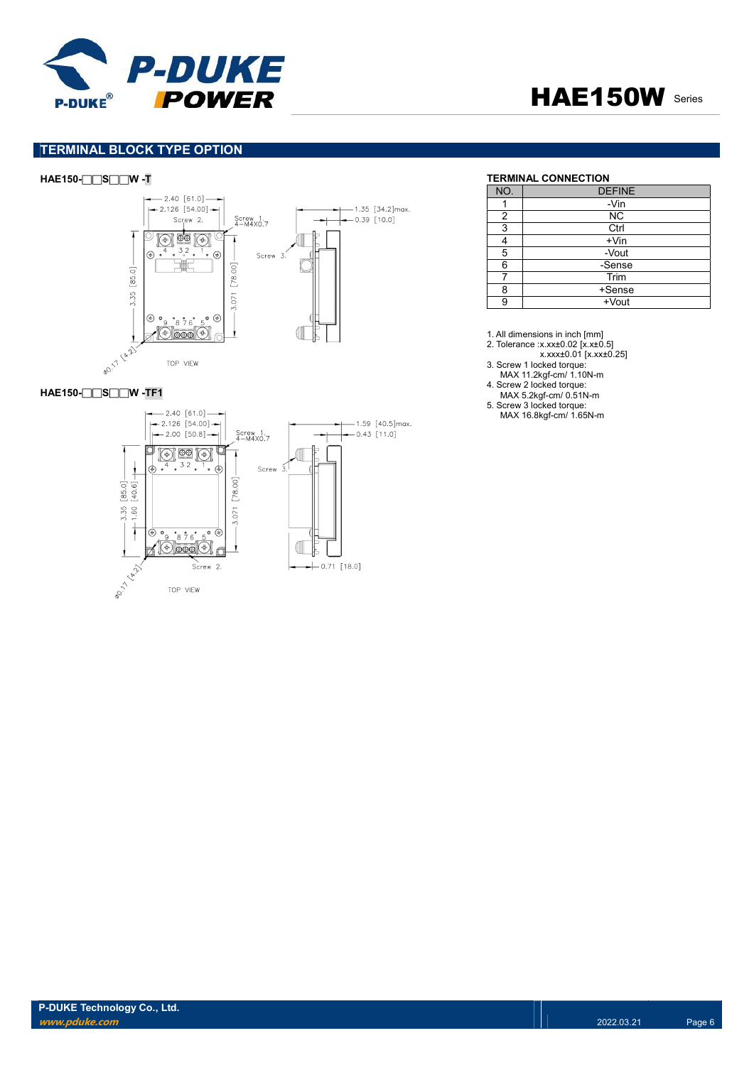



# TERMINAL BLOCK TYPE OPTION

# HAE150-□□S□□W -T TERMINAL CONNECTION



## HAE150-□□S□□W -TF1



| NO. | <b>DEFINE</b> |
|-----|---------------|
|     | -Vin          |
| 2   | <b>NC</b>     |
| 3   | Ctrl          |
|     | $+V$ in       |
| 5   | -Vout         |
| 6   | -Sense        |
|     | Trim          |
| 8   | +Sense        |
| 9   | +Vout         |

1. All dimensions in inch [mm]

2. Tolerance :x.xx±0.02 [x.x±0.5]

x.xxx±0.01 [x.xx±0.25]

3. Screw 1 locked torque: MAX 11.2kgf-cm/ 1.10N-m

4. Screw 2 locked torque:

MAX 5.2kgf-cm/ 0.51N-m

5. Screw 3 locked torque: MAX 16.8kgf-cm/ 1.65N-m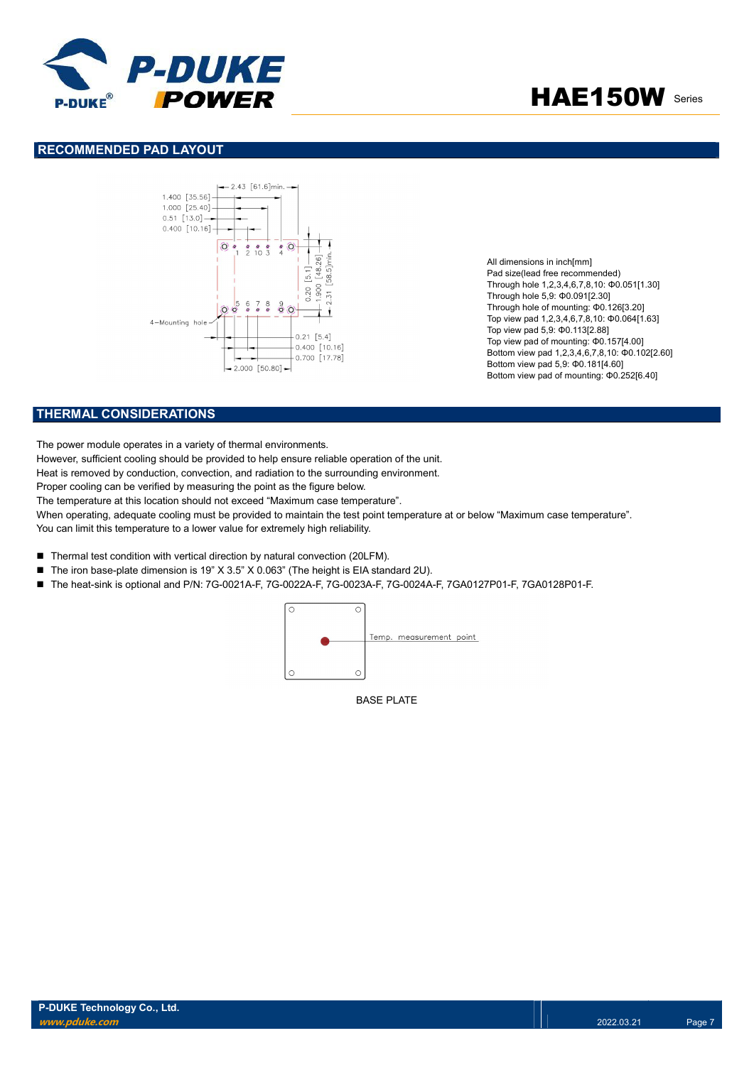

## RECOMMENDED PAD LAYOUT



All dimensions in inch[mm] Pad size(lead free recommended) Through hole 1,2,3,4,6,7,8,10: Φ0.051[1.30] Through hole 5,9: Φ0.091[2.30] Through hole of mounting: Φ0.126[3.20] Top view pad 1,2,3,4,6,7,8,10: Φ0.064[1.63] Top view pad 5,9: Φ0.113[2.88] Top view pad of mounting: Φ0.157[4.00] Bottom view pad 1,2,3,4,6,7,8,10: Φ0.102[2.60] Bottom view pad 5,9: Φ0.181[4.60] Bottom view pad of mounting: Φ0.252[6.40]

# THERMAL CONSIDERATIONS

The power module operates in a variety of thermal environments.

However, sufficient cooling should be provided to help ensure reliable operation of the unit.

Heat is removed by conduction, convection, and radiation to the surrounding environment.

Proper cooling can be verified by measuring the point as the figure below.

The temperature at this location should not exceed "Maximum case temperature".

When operating, adequate cooling must be provided to maintain the test point temperature at or below "Maximum case temperature". You can limit this temperature to a lower value for extremely high reliability.

- Thermal test condition with vertical direction by natural convection (20LFM).
- The iron base-plate dimension is 19" X 3.5" X 0.063" (The height is EIA standard 2U).
- The heat-sink is optional and P/N: 7G-0021A-F, 7G-0022A-F, 7G-0023A-F, 7G-0024A-F, 7GA0127P01-F, 7GA0128P01-F.



BASE PLATE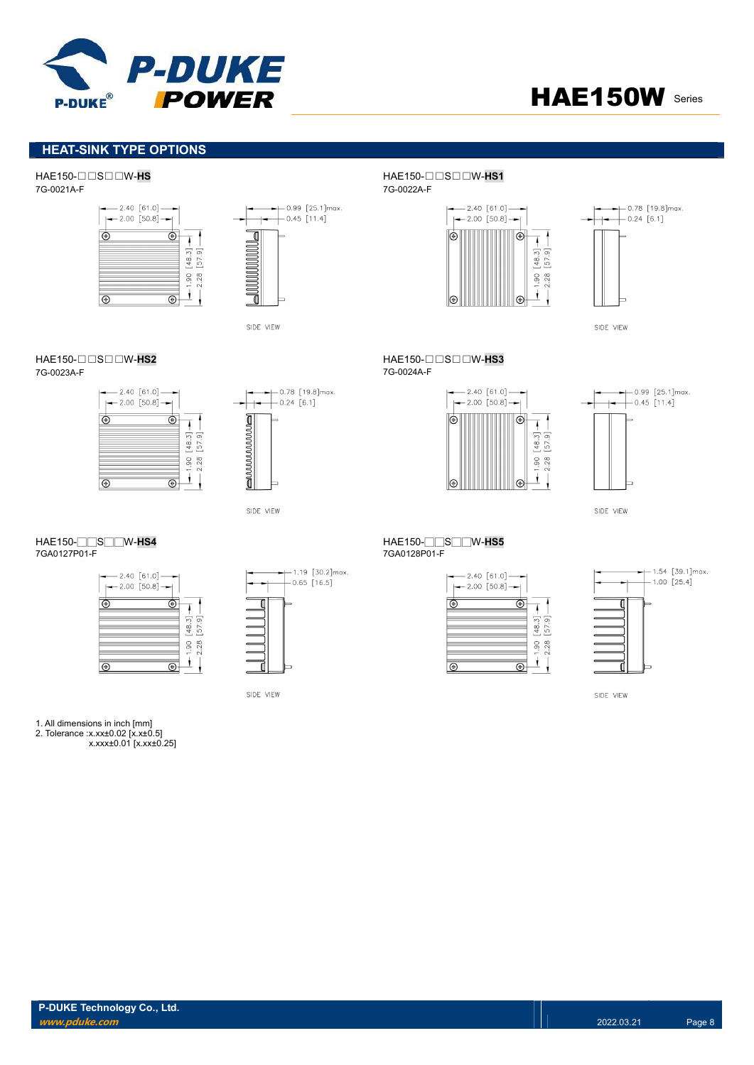

# HEAT-SINK TYPE OPTIONS

HAE150-□□S□□W-HS HAE150-□□S□□W-HS1



 $-$  0.99 [25.1]max. ₫  $\overline{\mathbb{I}}$ 

SIDE VIEW

7G-0023A-F 7G-0024A-F





SIDE VIEW

| $-2.40$ [61.0] -<br>$-2.00$ [50.8] $-$ |                           |
|----------------------------------------|---------------------------|
|                                        |                           |
|                                        | $^{48}$<br>Ó<br>2.28<br>S |
|                                        |                           |



SIDE VIEW

#### 1. All dimensions in inch [mm] 2. Tolerance :x.xx±0.02 [x.x±0.5]

x.xxx±0.01 [x.xx±0.25]

7G-0021A-F 7G-0022A-F





SIDE VIEW

HAE150-□□S□□W-**HS2 HAE150-□□S□□W-HS3**<br>7G-0023A-F 7G-0023A-F





SIDE VIEW

#### HAE150-□□S□□W-HS4 HAE150-□□S□□W-HS5<br>7GA0127P01-F 7GA0128P01-F 7GA0128P01-F

| $-2.00$ [50.8] | $-2.40 [61.0] -$ |                |
|----------------|------------------|----------------|
|                |                  |                |
|                |                  | $\frac{8}{3}$  |
|                |                  | $\infty$<br>္တ |
|                |                  |                |



SIDE VIEW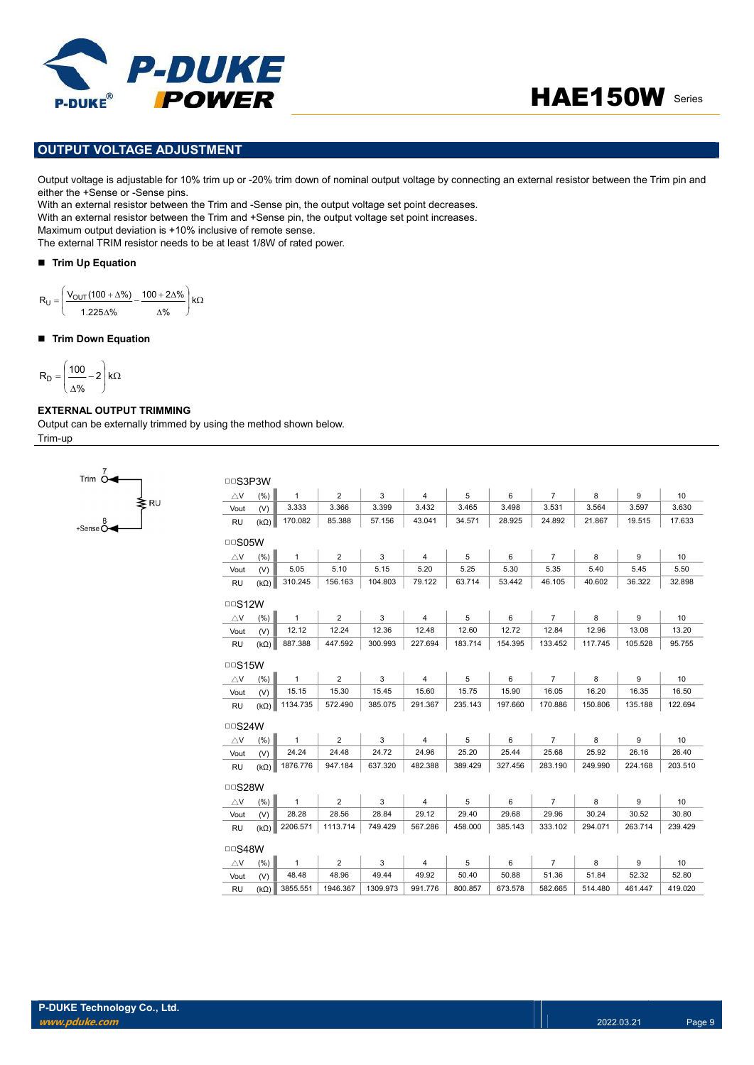

# OUTPUT VOLTAGE ADJUSTMENT

Output voltage is adjustable for 10% trim up or -20% trim down of nominal output voltage by connecting an external resistor between the Trim pin and either the +Sense or -Sense pins.

With an external resistor between the Trim and -Sense pin, the output voltage set point decreases.

With an external resistor between the Trim and +Sense pin, the output voltage set point increases.

Maximum output deviation is +10% inclusive of remote sense.

The external TRIM resistor needs to be at least 1/8W of rated power.

#### ■ Trim Up Equation

$$
R_U=\left(\frac{V_{OUT}(100+\Delta\%)}{1.225\Delta\%}-\frac{100+2\Delta\%}{\Delta\%}\right)k\Omega
$$

#### ■ Trim Down Equation

$$
R_D=\left(\frac{100}{\Delta\%}-2\right)k\Omega
$$

## EXTERNAL OUTPUT TRIMMING

Output can be externally trimmed by using the method shown below. Trim-up

| Trim O                          |      |
|---------------------------------|------|
|                                 | ∕ RU |
| $+$ Sense $\stackrel{8}{\circ}$ |      |

| <b>DDS3P3W</b> |             |              |                       |          |                |         |         |                |         |         |         |
|----------------|-------------|--------------|-----------------------|----------|----------------|---------|---------|----------------|---------|---------|---------|
| $\triangle V$  | (%)         | $\mathbf{1}$ | $\overline{2}$        | 3        | $\overline{4}$ | 5       | 6       | $\overline{7}$ | 8       | 9       | 10      |
| Vout           | (V)         | 3.333        | 3.366                 | 3.399    | 3.432          | 3.465   | 3.498   | 3.531          | 3.564   | 3.597   | 3.630   |
| <b>RU</b>      | $(k\Omega)$ | 170.082      | 85.388                | 57.156   | 43.041         | 34.571  | 28.925  | 24.892         | 21.867  | 19.515  | 17.633  |
| $\Box$ SO5W    |             |              |                       |          |                |         |         |                |         |         |         |
| $\triangle$ V  | (% )        | $\mathbf{1}$ | $\overline{2}$        | 3        | $\overline{4}$ | 5       | 6       | $\overline{7}$ | 8       | 9       | 10      |
| Vout           | (V)         | 5.05         | 5.10                  | 5.15     | 5.20           | 5.25    | 5.30    | 5.35           | 5.40    | 5.45    | 5.50    |
| <b>RU</b>      | $(k\Omega)$ | 310.245      | 156.163               | 104.803  | 79.122         | 63.714  | 53.442  | 46.105         | 40.602  | 36.322  | 32.898  |
| $\Box$ S12W    |             |              |                       |          |                |         |         |                |         |         |         |
| $\triangle$ V  | (% )        | $\mathbf{1}$ | $\overline{2}$        | 3        | $\overline{4}$ | 5       | 6       | $\overline{7}$ | 8       | 9       | 10      |
| Vout           | (V)         | 12.12        | 12.24                 | 12.36    | 12.48          | 12.60   | 12.72   | 12.84          | 12.96   | 13.08   | 13.20   |
| <b>RU</b>      | $(k\Omega)$ | 887.388      | 447.592               | 300.993  | 227.694        | 183.714 | 154.395 | 133.452        | 117.745 | 105.528 | 95.755  |
| $\Box$ S15W    |             |              |                       |          |                |         |         |                |         |         |         |
| $\triangle$ V  | (% )        | $\mathbf{1}$ | $\mathbf{2}^{\prime}$ | 3        | 4              | 5       | 6       | $\overline{7}$ | 8       | 9       | 10      |
| Vout           | (V)         | 15.15        | 15.30                 | 15.45    | 15.60          | 15.75   | 15.90   | 16.05          | 16.20   | 16.35   | 16.50   |
| <b>RU</b>      | $(k\Omega)$ | 1134.735     | 572.490               | 385.075  | 291.367        | 235.143 | 197.660 | 170.886        | 150.806 | 135.188 | 122.694 |
| $\Box$ S24W    |             |              |                       |          |                |         |         |                |         |         |         |
| $\triangle$ V  | (% )        | $\mathbf{1}$ | $\overline{2}$        | 3        | $\overline{4}$ | 5       | 6       | $\overline{7}$ | 8       | 9       | 10      |
| Vout           | (V)         | 24.24        | 24.48                 | 24.72    | 24.96          | 25.20   | 25.44   | 25.68          | 25.92   | 26.16   | 26.40   |
| <b>RU</b>      | $(k\Omega)$ | 1876.776     | 947.184               | 637.320  | 482.388        | 389.429 | 327.456 | 283.190        | 249.990 | 224.168 | 203.510 |
| □□S28W         |             |              |                       |          |                |         |         |                |         |         |         |
| $\triangle$ V  | (% )        | $\mathbf{1}$ | $\overline{2}$        | 3        | $\overline{4}$ | 5       | 6       | $\overline{7}$ | 8       | 9       | 10      |
| Vout           | (V)         | 28.28        | 28.56                 | 28.84    | 29.12          | 29.40   | 29.68   | 29.96          | 30.24   | 30.52   | 30.80   |
| <b>RU</b>      | $(k\Omega)$ | 2206.571     | 1113.714              | 749.429  | 567.286        | 458.000 | 385.143 | 333.102        | 294.071 | 263.714 | 239.429 |
| $\Box$ S48W    |             |              |                       |          |                |         |         |                |         |         |         |
| $\triangle$ V  | (%)         | $\mathbf{1}$ | $\overline{2}$        | 3        | $\overline{4}$ | 5       | 6       | $\overline{7}$ | 8       | 9       | 10      |
| Vout           | (V)         | 48.48        | 48.96                 | 49.44    | 49.92          | 50.40   | 50.88   | 51.36          | 51.84   | 52.32   | 52.80   |
| <b>RU</b>      | $(k\Omega)$ | 3855.551     | 1946.367              | 1309.973 | 991.776        | 800.857 | 673.578 | 582.665        | 514.480 | 461.447 | 419.020 |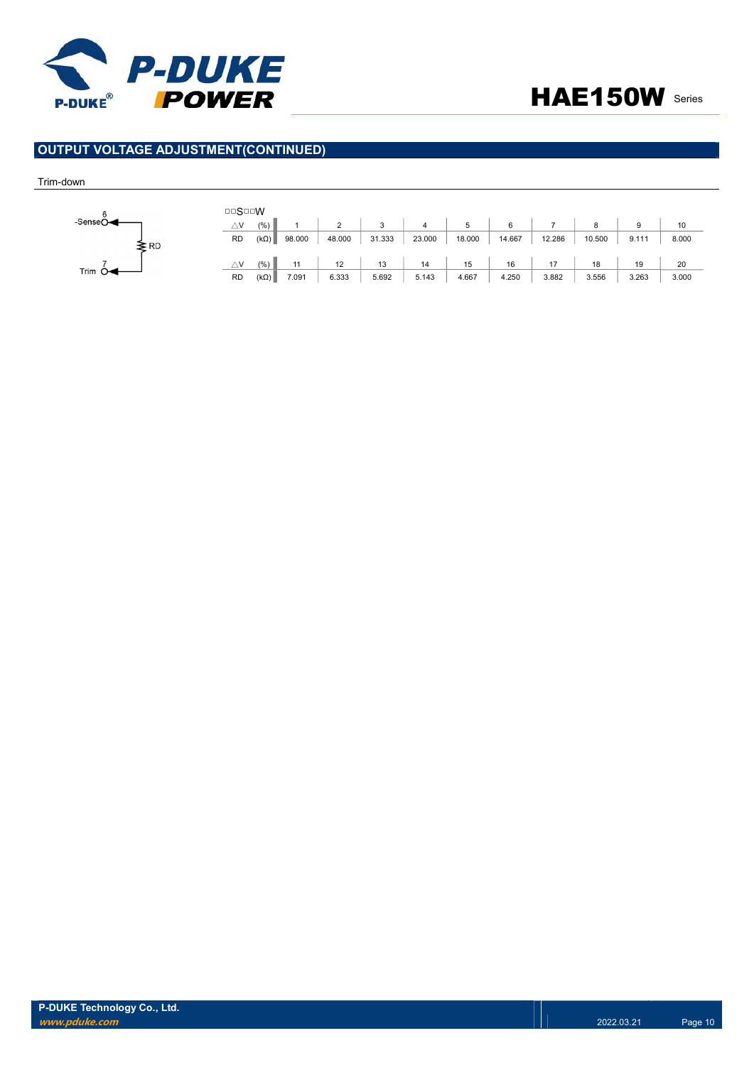

# OUTPUT VOLTAGE ADJUSTMENT(CONTINUED)

#### Trim-down